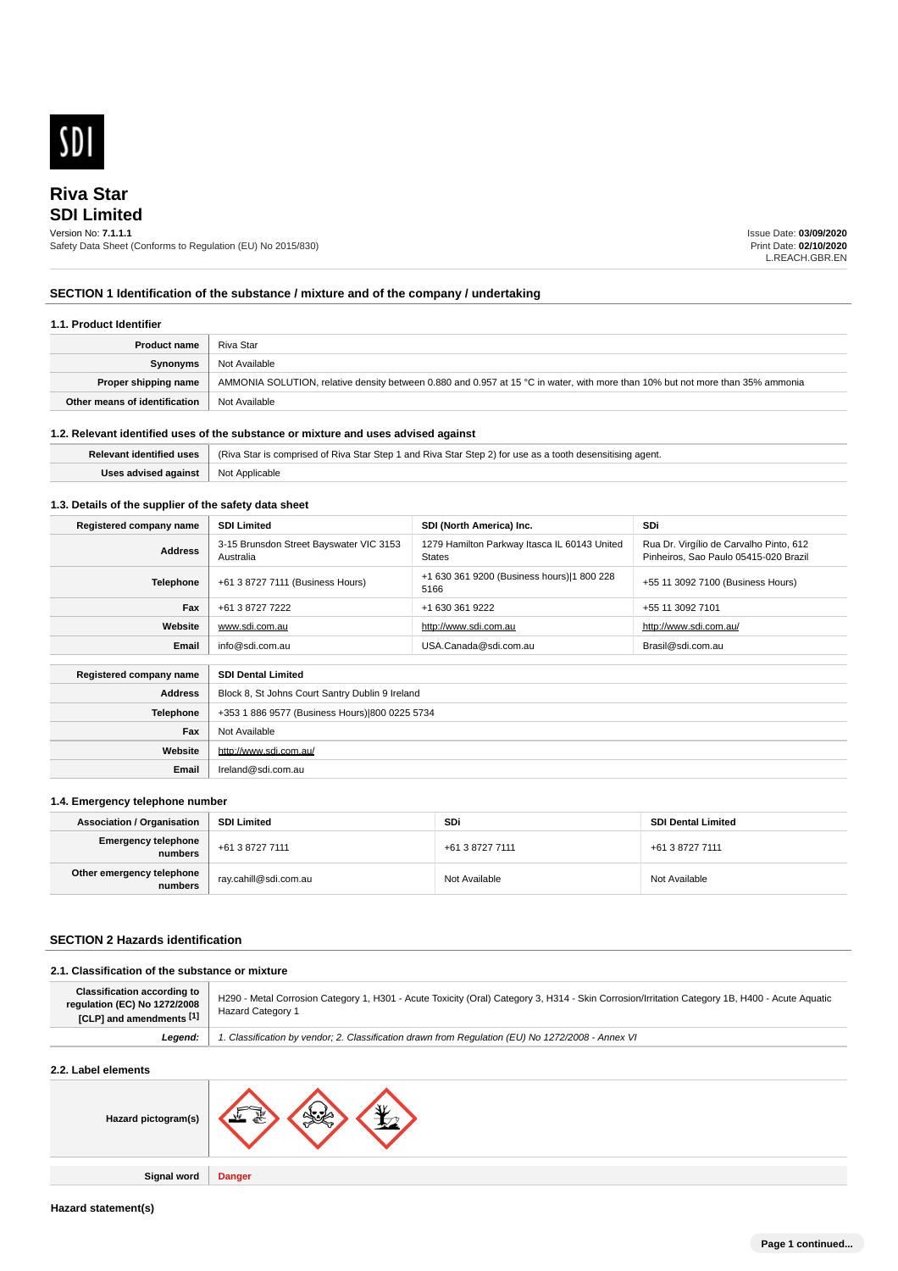

# **SDI Limited Riva Star**

### Version No: **7.1.1.1**

Safety Data Sheet (Conforms to Regulation (EU) No 2015/830)

Issue Date: **03/09/2020** Print Date: **02/10/2020** L.REACH.GBR.EN

## **SECTION 1 Identification of the substance / mixture and of the company / undertaking**

## **1.1. Product Identifier**

| <b>Product name</b>           | Riva Star                                                                                                                      |
|-------------------------------|--------------------------------------------------------------------------------------------------------------------------------|
| Synonyms                      | Not Available                                                                                                                  |
| Proper shipping name          | AMMONIA SOLUTION, relative density between 0.880 and 0.957 at 15 °C in water, with more than 10% but not more than 35% ammonia |
| Other means of identification | Not Available                                                                                                                  |

## **1.2. Relevant identified uses of the substance or mixture and uses advised against**

|                                            | Relevant identified uses   (Riva Star is comprised of Riva Star Step 1 and Riva Star Step 2) for use as a tooth desensitising agent. |
|--------------------------------------------|--------------------------------------------------------------------------------------------------------------------------------------|
| <b>Uses advised against</b> Not Applicable |                                                                                                                                      |

## **1.3. Details of the supplier of the safety data sheet**

| Registered company name                              | <b>SDI Limited</b>                                   | SDI (North America) Inc.                               | SDi                                                                              |
|------------------------------------------------------|------------------------------------------------------|--------------------------------------------------------|----------------------------------------------------------------------------------|
| <b>Address</b>                                       | 3-15 Brunsdon Street Bayswater VIC 3153<br>Australia | 1279 Hamilton Parkway Itasca IL 60143 United<br>States | Rua Dr. Virgílio de Carvalho Pinto, 612<br>Pinheiros, Sao Paulo 05415-020 Brazil |
| <b>Telephone</b>                                     | +61 3 8727 7111 (Business Hours)                     | +1 630 361 9200 (Business hours) 1 800 228<br>5166     | +55 11 3092 7100 (Business Hours)                                                |
| Fax                                                  | +61 3 8727 7222                                      | +1 630 361 9222                                        | +55 11 3092 7101                                                                 |
| Website                                              | www.sdi.com.au                                       | http://www.sdi.com.au                                  | http://www.sdi.com.au/                                                           |
| Email                                                | info@sdi.com.au                                      | USA.Canada@sdi.com.au                                  | Brasil@sdi.com.au                                                                |
| <b>SDI Dental Limited</b><br>Registered company name |                                                      |                                                        |                                                                                  |
| <b>Address</b>                                       | Block 8, St Johns Court Santry Dublin 9 Ireland      |                                                        |                                                                                  |
| <b>Telephone</b>                                     | +353 1 886 9577 (Business Hours) 800 0225 5734       |                                                        |                                                                                  |
| Fax                                                  | Not Available                                        |                                                        |                                                                                  |
| Website                                              | http://www.sdi.com.au/                               |                                                        |                                                                                  |
| Email                                                | Ireland@sdi.com.au                                   |                                                        |                                                                                  |

## **1.4. Emergency telephone number**

| <b>Association / Organisation</b>    | SDI Limited           | <b>SDi</b>      | <b>SDI Dental Limited</b> |
|--------------------------------------|-----------------------|-----------------|---------------------------|
| Emergency telephone<br>numbers       | +61 3 8727 7111       | +61 3 8727 7111 | +61 3 8727 7111           |
| Other emergency telephone<br>numbers | nay.cahill@sdi.com.au | Not Available   | Not Available             |

## **SECTION 2 Hazards identification**

## **2.1. Classification of the substance or mixture**

**Signal word Danger**

| <b>Classification according to</b><br>regulation (EC) No 1272/2008<br>[CLP] and amendments [1] | H290 - Metal Corrosion Category 1, H301 - Acute Toxicity (Oral) Category 3, H314 - Skin Corrosion/Irritation Category 1B, H400 - Acute Aquatic<br><b>Hazard Category 1</b> |  |  |
|------------------------------------------------------------------------------------------------|----------------------------------------------------------------------------------------------------------------------------------------------------------------------------|--|--|
| Legend:                                                                                        | 1. Classification by vendor; 2. Classification drawn from Regulation (EU) No 1272/2008 - Annex VI                                                                          |  |  |
| 2.2. Label elements                                                                            |                                                                                                                                                                            |  |  |
| Hazard pictogram(s)                                                                            |                                                                                                                                                                            |  |  |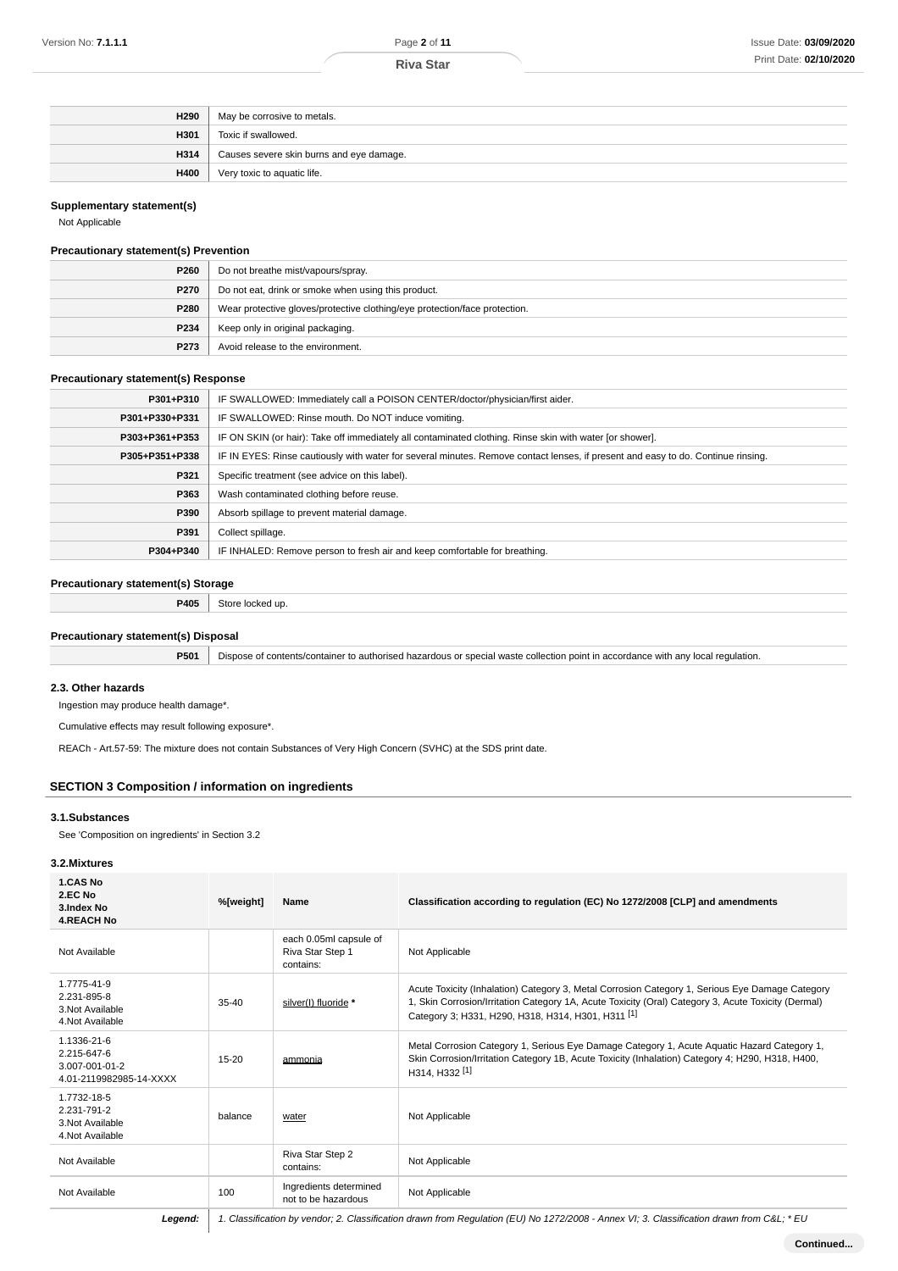| H <sub>290</sub> | May be corrosive to metals.              |
|------------------|------------------------------------------|
| H301             | Toxic if swallowed.                      |
| H314             | Causes severe skin burns and eye damage. |
| H400             | Very toxic to aquatic life.              |

## **Supplementary statement(s)**

Not Applicable

## **Precautionary statement(s) Prevention**

| P260        | Do not breathe mist/vapours/spray.                                         |
|-------------|----------------------------------------------------------------------------|
| <b>P270</b> | Do not eat, drink or smoke when using this product.                        |
| P280        | Wear protective gloves/protective clothing/eye protection/face protection. |
| P234        | Keep only in original packaging.                                           |
| P273        | Avoid release to the environment.                                          |

## **Precautionary statement(s) Response**

| P301+P310      | IF SWALLOWED: Immediately call a POISON CENTER/doctor/physician/first aider.                                                     |
|----------------|----------------------------------------------------------------------------------------------------------------------------------|
| P301+P330+P331 | IF SWALLOWED: Rinse mouth. Do NOT induce vomiting.                                                                               |
| P303+P361+P353 | IF ON SKIN (or hair): Take off immediately all contaminated clothing. Rinse skin with water [or shower].                         |
| P305+P351+P338 | IF IN EYES: Rinse cautiously with water for several minutes. Remove contact lenses, if present and easy to do. Continue rinsing. |
| P321           | Specific treatment (see advice on this label).                                                                                   |
| P363           | Wash contaminated clothing before reuse.                                                                                         |
| P390           | Absorb spillage to prevent material damage.                                                                                      |
| P391           | Collect spillage.                                                                                                                |
| P304+P340      | IF INHALED: Remove person to fresh air and keep comfortable for breathing.                                                       |

## **Precautionary statement(s) Storage**

**P405** Store locked up.

## **Precautionary statement(s) Disposal**

**P501** Dispose of contents/container to authorised hazardous or special waste collection point in accordance with any local regulation.

#### **2.3. Other hazards**

Ingestion may produce health damage\*.

Cumulative effects may result following exposure\*.

REACh - Art.57-59: The mixture does not contain Substances of Very High Concern (SVHC) at the SDS print date.

## **SECTION 3 Composition / information on ingredients**

## **3.1.Substances**

See 'Composition on ingredients' in Section 3.2

### **3.2.Mixtures**

| 1.CAS No<br>2.EC No<br>3.Index No<br><b>4.REACH No</b>                  | %[weight] | Name                                                    | Classification according to regulation (EC) No 1272/2008 [CLP] and amendments                                                                                                                                                                                           |
|-------------------------------------------------------------------------|-----------|---------------------------------------------------------|-------------------------------------------------------------------------------------------------------------------------------------------------------------------------------------------------------------------------------------------------------------------------|
| Not Available                                                           |           | each 0.05ml capsule of<br>Riva Star Step 1<br>contains: | Not Applicable                                                                                                                                                                                                                                                          |
| 1.7775-41-9<br>2.231-895-8<br>3. Not Available<br>4. Not Available      | $35-40$   | silver(I) fluoride *                                    | Acute Toxicity (Inhalation) Category 3, Metal Corrosion Category 1, Serious Eye Damage Category<br>1, Skin Corrosion/Irritation Category 1A, Acute Toxicity (Oral) Category 3, Acute Toxicity (Dermal)<br>Category 3; H331, H290, H318, H314, H301, H311 <sup>[1]</sup> |
| 1.1336-21-6<br>2.215-647-6<br>3.007-001-01-2<br>4.01-2119982985-14-XXXX | $15 - 20$ | ammonia                                                 | Metal Corrosion Category 1, Serious Eye Damage Category 1, Acute Aquatic Hazard Category 1,<br>Skin Corrosion/Irritation Category 1B, Acute Toxicity (Inhalation) Category 4; H290, H318, H400,<br>H314, H332 <sup>[1]</sup>                                            |
| 1.7732-18-5<br>2.231-791-2<br>3. Not Available<br>4. Not Available      | balance   | water                                                   | Not Applicable                                                                                                                                                                                                                                                          |
| Not Available                                                           |           | Riva Star Step 2<br>contains:                           | Not Applicable                                                                                                                                                                                                                                                          |
| Not Available                                                           | 100       | Ingredients determined<br>not to be hazardous           | Not Applicable                                                                                                                                                                                                                                                          |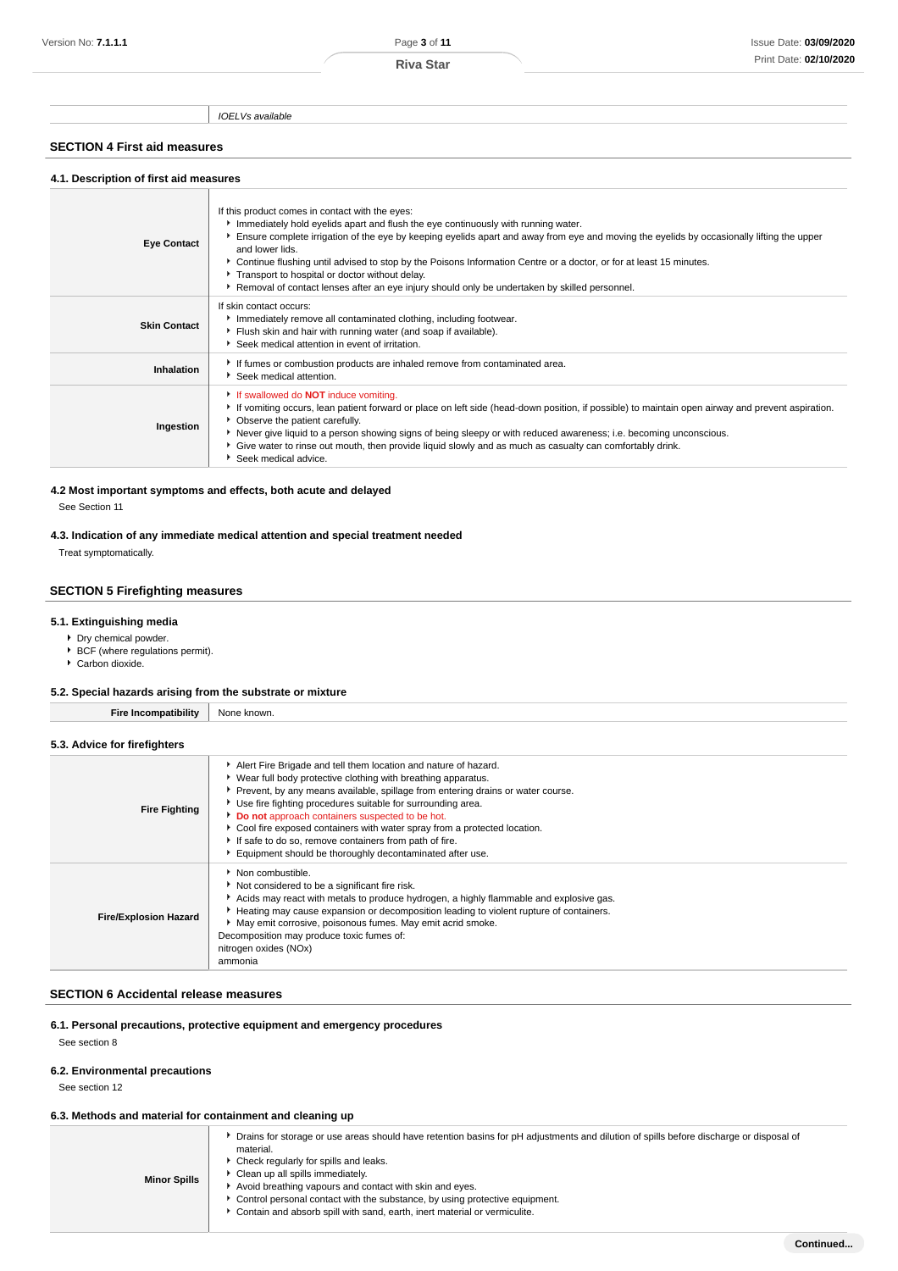IOELVs available

## **SECTION 4 First aid measures**

| 4.1. Description of first aid measures |                                                                                                                                                                                                                                                                                                                                                                                                                                                                                                                                                                                   |  |  |  |
|----------------------------------------|-----------------------------------------------------------------------------------------------------------------------------------------------------------------------------------------------------------------------------------------------------------------------------------------------------------------------------------------------------------------------------------------------------------------------------------------------------------------------------------------------------------------------------------------------------------------------------------|--|--|--|
| <b>Eye Contact</b>                     | If this product comes in contact with the eyes:<br>Immediately hold eyelids apart and flush the eye continuously with running water.<br>Ensure complete irrigation of the eye by keeping eyelids apart and away from eye and moving the eyelids by occasionally lifting the upper<br>and lower lids.<br>▶ Continue flushing until advised to stop by the Poisons Information Centre or a doctor, or for at least 15 minutes.<br>Transport to hospital or doctor without delay.<br>▶ Removal of contact lenses after an eye injury should only be undertaken by skilled personnel. |  |  |  |
| <b>Skin Contact</b>                    | If skin contact occurs:<br>Immediately remove all contaminated clothing, including footwear.<br>Flush skin and hair with running water (and soap if available).<br>Seek medical attention in event of irritation.                                                                                                                                                                                                                                                                                                                                                                 |  |  |  |
| Inhalation                             | If fumes or combustion products are inhaled remove from contaminated area.<br>Seek medical attention.                                                                                                                                                                                                                                                                                                                                                                                                                                                                             |  |  |  |
| Ingestion                              | If swallowed do <b>NOT</b> induce vomiting.<br>If vomiting occurs, lean patient forward or place on left side (head-down position, if possible) to maintain open airway and prevent aspiration.<br>• Observe the patient carefully.<br>▶ Never give liquid to a person showing signs of being sleepy or with reduced awareness; i.e. becoming unconscious.<br>Give water to rinse out mouth, then provide liquid slowly and as much as casualty can comfortably drink.<br>Seek medical advice.                                                                                    |  |  |  |

# **4.2 Most important symptoms and effects, both acute and delayed**

See Section 11

**4.3. Indication of any immediate medical attention and special treatment needed**

Treat symptomatically.

## **SECTION 5 Firefighting measures**

### **5.1. Extinguishing media**

- Dry chemical powder.
- BCF (where regulations permit).
- Carbon dioxide.

## **5.2. Special hazards arising from the substrate or mixture**

**Fire Incompatibility** None known.

### **5.3. Advice for firefighters**

| <b>Fire Fighting</b>         | Alert Fire Brigade and tell them location and nature of hazard.                          |
|------------------------------|------------------------------------------------------------------------------------------|
|                              | • Wear full body protective clothing with breathing apparatus.                           |
|                              | Prevent, by any means available, spillage from entering drains or water course.          |
|                              | Use fire fighting procedures suitable for surrounding area.                              |
|                              | Do not approach containers suspected to be hot.                                          |
|                              | ► Cool fire exposed containers with water spray from a protected location.               |
|                              | If safe to do so, remove containers from path of fire.                                   |
|                              | Equipment should be thoroughly decontaminated after use.                                 |
|                              | Non combustible.                                                                         |
|                              | Not considered to be a significant fire risk.                                            |
|                              | ▶ Acids may react with metals to produce hydrogen, a highly flammable and explosive gas. |
|                              | Heating may cause expansion or decomposition leading to violent rupture of containers.   |
| <b>Fire/Explosion Hazard</b> | May emit corrosive, poisonous fumes. May emit acrid smoke.                               |
|                              | Decomposition may produce toxic fumes of:                                                |
|                              | nitrogen oxides (NOx)                                                                    |
|                              | ammonia                                                                                  |

## **SECTION 6 Accidental release measures**

## **6.1. Personal precautions, protective equipment and emergency procedures**

See section 8

## **6.2. Environmental precautions**

See section 12

## **6.3. Methods and material for containment and cleaning up**

|                     | • Drains for storage or use areas should have retention basins for pH adjustments and dilution of spills before discharge or disposal of<br>material. |
|---------------------|-------------------------------------------------------------------------------------------------------------------------------------------------------|
| <b>Minor Spills</b> | ▶ Check regularly for spills and leaks.<br>▶ Clean up all spills immediately.                                                                         |
|                     | Avoid breathing vapours and contact with skin and eyes.<br>► Control personal contact with the substance, by using protective equipment.              |

- ► Contain and absorb spill with sand, earth, inert material or vermiculite.
	-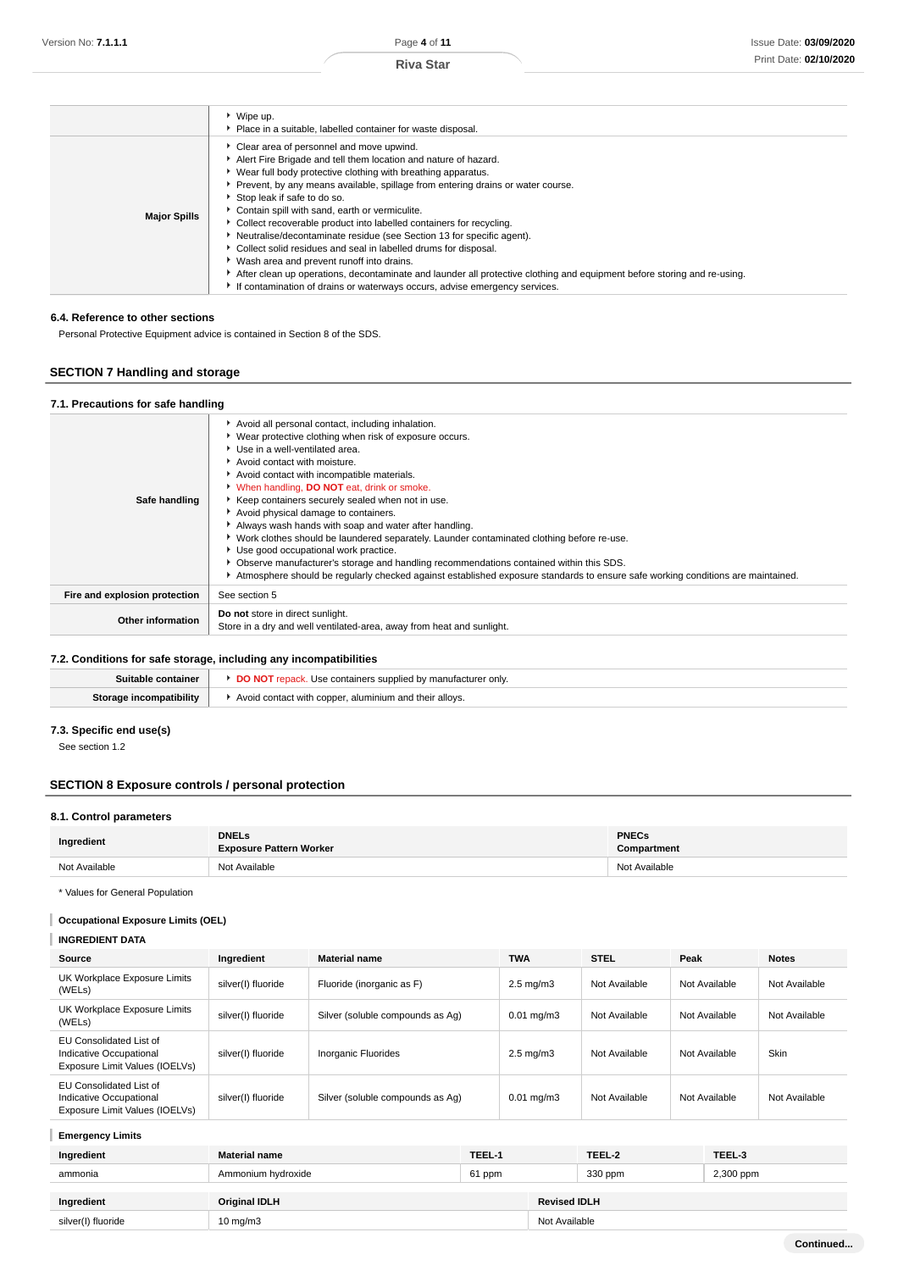| Wash area and prevent runoff into drains.<br>After clean up operations, decontaminate and launder all protective clothing and equipment before storing and re-using.<br>If contamination of drains or waterways occurs, advise emergency services. | ▶ Wipe up.<br>• Place in a suitable, labelled container for waste disposal.<br>Clear area of personnel and move upwind.<br>Alert Fire Brigade and tell them location and nature of hazard.<br>▶ Wear full body protective clothing with breathing apparatus.<br>Prevent, by any means available, spillage from entering drains or water course.<br>Stop leak if safe to do so.<br>Contain spill with sand, earth or vermiculite.<br><b>Major Spills</b><br>• Collect recoverable product into labelled containers for recycling.<br>Neutralise/decontaminate residue (see Section 13 for specific agent). |  |
|----------------------------------------------------------------------------------------------------------------------------------------------------------------------------------------------------------------------------------------------------|-----------------------------------------------------------------------------------------------------------------------------------------------------------------------------------------------------------------------------------------------------------------------------------------------------------------------------------------------------------------------------------------------------------------------------------------------------------------------------------------------------------------------------------------------------------------------------------------------------------|--|
|                                                                                                                                                                                                                                                    | Collect solid residues and seal in labelled drums for disposal.                                                                                                                                                                                                                                                                                                                                                                                                                                                                                                                                           |  |

### **6.4. Reference to other sections**

Personal Protective Equipment advice is contained in Section 8 of the SDS.

## **SECTION 7 Handling and storage**

## **7.1. Precautions for safe handling**

| Safe handling                 | Avoid all personal contact, including inhalation.<br>Wear protective clothing when risk of exposure occurs.<br>Use in a well-ventilated area.<br>Avoid contact with moisture.<br>Avoid contact with incompatible materials.<br>V When handling, DO NOT eat, drink or smoke.<br>Keep containers securely sealed when not in use.<br>Avoid physical damage to containers.<br>Always wash hands with soap and water after handling.<br>▶ Work clothes should be laundered separately. Launder contaminated clothing before re-use.<br>Use good occupational work practice.<br>Observe manufacturer's storage and handling recommendations contained within this SDS.<br>Atmosphere should be regularly checked against established exposure standards to ensure safe working conditions are maintained. |
|-------------------------------|------------------------------------------------------------------------------------------------------------------------------------------------------------------------------------------------------------------------------------------------------------------------------------------------------------------------------------------------------------------------------------------------------------------------------------------------------------------------------------------------------------------------------------------------------------------------------------------------------------------------------------------------------------------------------------------------------------------------------------------------------------------------------------------------------|
| Fire and explosion protection | See section 5                                                                                                                                                                                                                                                                                                                                                                                                                                                                                                                                                                                                                                                                                                                                                                                        |
| Other information             | Do not store in direct sunlight.<br>Store in a dry and well ventilated-area, away from heat and sunlight.                                                                                                                                                                                                                                                                                                                                                                                                                                                                                                                                                                                                                                                                                            |

## **7.2. Conditions for safe storage, including any incompatibilities**

| Suitable container       | Use containers supplied by manufac<br>`੧cturer onlv.   |
|--------------------------|--------------------------------------------------------|
| compatibility<br>Starage | Avoid contact with copper, aluminium and their alloys. |

## **7.3. Specific end use(s)**

See section 1.2

## **SECTION 8 Exposure controls / personal protection**

## **8.1. Control parameters**

| Ingredient    | <b>DNELs</b><br><b>Exposure Pattern Worker</b> | <b>PNECs</b><br>Compartment |
|---------------|------------------------------------------------|-----------------------------|
| Not Available | Not Available                                  | Not Available               |

\* Values for General Population

## **Occupational Exposure Limits (OEL)**

## **INGREDIENT DATA**

| Source                                                                                      | Ingredient         | <b>Material name</b>             | <b>TWA</b>             | <b>STEL</b>   | Peak          | <b>Notes</b>  |
|---------------------------------------------------------------------------------------------|--------------------|----------------------------------|------------------------|---------------|---------------|---------------|
| UK Workplace Exposure Limits<br>(WELs)                                                      | silver(I) fluoride | Fluoride (inorganic as F)        | $2.5 \text{ mg/m}$ 3   | Not Available | Not Available | Not Available |
| UK Workplace Exposure Limits<br>(WELs)                                                      | silver(I) fluoride | Silver (soluble compounds as Aq) | $0.01 \,\mathrm{mg/m}$ | Not Available | Not Available | Not Available |
| <b>EU Consolidated List of</b><br>Indicative Occupational<br>Exposure Limit Values (IOELVs) | silver(I) fluoride | Inorganic Fluorides              | $2.5 \text{ mg/m}$ 3   | Not Available | Not Available | <b>Skin</b>   |
| EU Consolidated List of<br>Indicative Occupational<br>Exposure Limit Values (IOELVs)        | silver(I) fluoride | Silver (soluble compounds as Aq) | $0.01 \,\mathrm{mg/m}$ | Not Available | Not Available | Not Available |

## **Emergency Limits**

| Ingredient         | <b>Material name</b> | TEEL-1 |                     | TEEL-2  | TEEL-3    |
|--------------------|----------------------|--------|---------------------|---------|-----------|
| ammonia            | Ammonium hydroxide   | 61 ppm |                     | 330 ppm | 2,300 ppm |
| Ingredient         | <b>Original IDLH</b> |        | <b>Revised IDLH</b> |         |           |
| silver(I) fluoride | $10 \text{ mg/m}$    |        | Not Available       |         |           |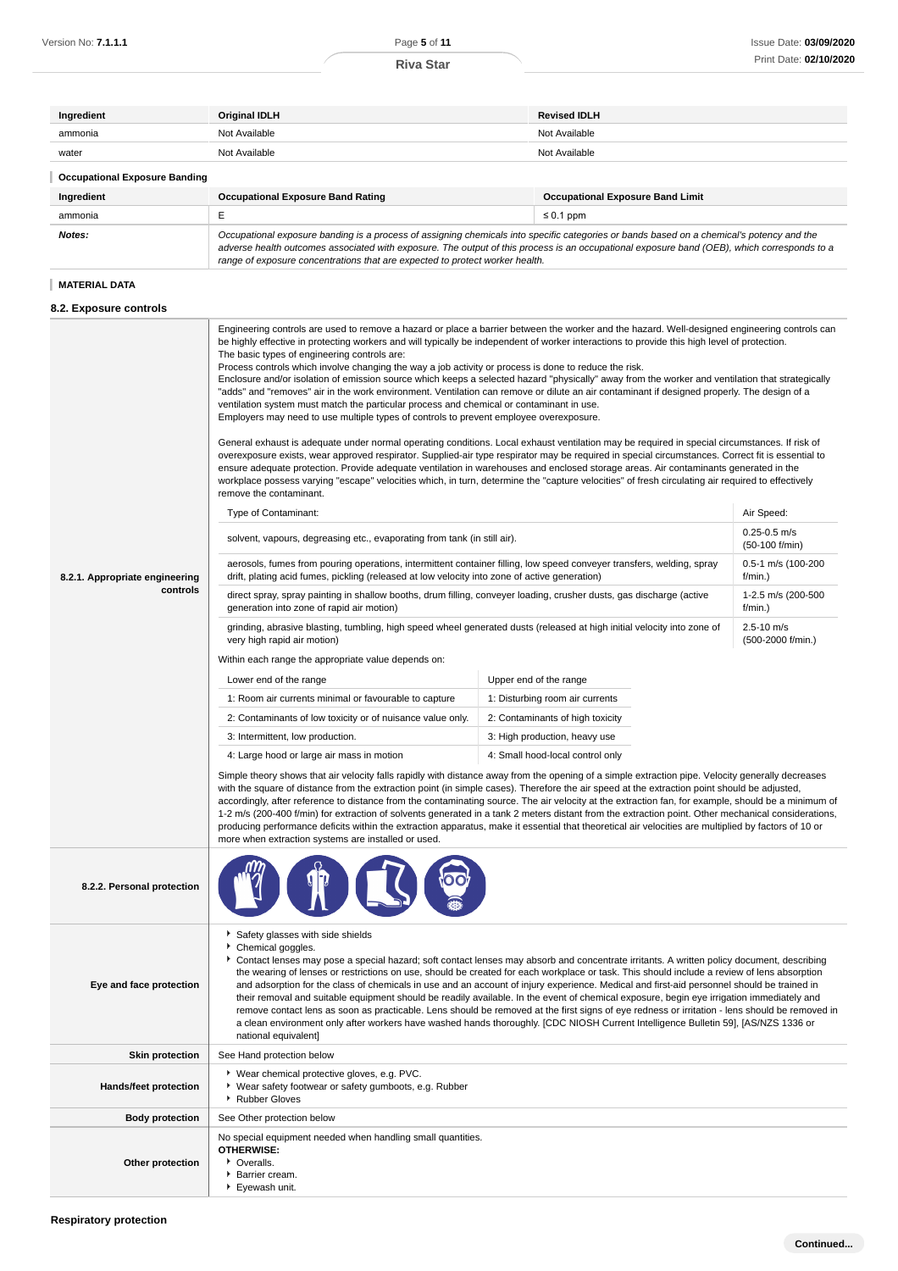| Ingredient                           | <b>Original IDLH</b>                     | <b>Revised IDLH</b>                     |  |
|--------------------------------------|------------------------------------------|-----------------------------------------|--|
| ammonia                              | Not Available                            | Not Available                           |  |
| water                                | Not Available                            | Not Available                           |  |
| <b>Occupational Exposure Banding</b> |                                          |                                         |  |
| Ingredient                           | <b>Occupational Exposure Band Rating</b> | <b>Occupational Exposure Band Limit</b> |  |
|                                      |                                          |                                         |  |
| ammonia                              |                                          | $\leq 0.1$ ppm                          |  |

## **MATERIAL DATA**

## **8.2. Exposure controls**

|                                            | Engineering controls are used to remove a hazard or place a barrier between the worker and the hazard. Well-designed engineering controls can<br>be highly effective in protecting workers and will typically be independent of worker interactions to provide this high level of protection.<br>The basic types of engineering controls are:<br>Process controls which involve changing the way a job activity or process is done to reduce the risk.<br>Enclosure and/or isolation of emission source which keeps a selected hazard "physically" away from the worker and ventilation that strategically<br>"adds" and "removes" air in the work environment. Ventilation can remove or dilute an air contaminant if designed properly. The design of a<br>ventilation system must match the particular process and chemical or contaminant in use.<br>Employers may need to use multiple types of controls to prevent employee overexposure.<br>General exhaust is adequate under normal operating conditions. Local exhaust ventilation may be required in special circumstances. If risk of<br>overexposure exists, wear approved respirator. Supplied-air type respirator may be required in special circumstances. Correct fit is essential to<br>ensure adequate protection. Provide adequate ventilation in warehouses and enclosed storage areas. Air contaminants generated in the<br>workplace possess varying "escape" velocities which, in turn, determine the "capture velocities" of fresh circulating air required to effectively<br>remove the contaminant.<br>Type of Contaminant: |                                 | Air Speed:<br>$0.25 - 0.5$ m/s       |  |
|--------------------------------------------|-------------------------------------------------------------------------------------------------------------------------------------------------------------------------------------------------------------------------------------------------------------------------------------------------------------------------------------------------------------------------------------------------------------------------------------------------------------------------------------------------------------------------------------------------------------------------------------------------------------------------------------------------------------------------------------------------------------------------------------------------------------------------------------------------------------------------------------------------------------------------------------------------------------------------------------------------------------------------------------------------------------------------------------------------------------------------------------------------------------------------------------------------------------------------------------------------------------------------------------------------------------------------------------------------------------------------------------------------------------------------------------------------------------------------------------------------------------------------------------------------------------------------------------------------------------------------------------------------------|---------------------------------|--------------------------------------|--|
|                                            | solvent, vapours, degreasing etc., evaporating from tank (in still air).<br>aerosols, fumes from pouring operations, intermittent container filling, low speed conveyer transfers, welding, spray                                                                                                                                                                                                                                                                                                                                                                                                                                                                                                                                                                                                                                                                                                                                                                                                                                                                                                                                                                                                                                                                                                                                                                                                                                                                                                                                                                                                     |                                 | (50-100 f/min)<br>0.5-1 m/s (100-200 |  |
| 8.2.1. Appropriate engineering<br>controls | drift, plating acid fumes, pickling (released at low velocity into zone of active generation)<br>direct spray, spray painting in shallow booths, drum filling, conveyer loading, crusher dusts, gas discharge (active                                                                                                                                                                                                                                                                                                                                                                                                                                                                                                                                                                                                                                                                                                                                                                                                                                                                                                                                                                                                                                                                                                                                                                                                                                                                                                                                                                                 |                                 | f/min.)<br>1-2.5 m/s (200-500        |  |
|                                            | generation into zone of rapid air motion)<br>grinding, abrasive blasting, tumbling, high speed wheel generated dusts (released at high initial velocity into zone of                                                                                                                                                                                                                                                                                                                                                                                                                                                                                                                                                                                                                                                                                                                                                                                                                                                                                                                                                                                                                                                                                                                                                                                                                                                                                                                                                                                                                                  |                                 | f/min.)<br>$2.5 - 10$ m/s            |  |
|                                            | very high rapid air motion)                                                                                                                                                                                                                                                                                                                                                                                                                                                                                                                                                                                                                                                                                                                                                                                                                                                                                                                                                                                                                                                                                                                                                                                                                                                                                                                                                                                                                                                                                                                                                                           |                                 | (500-2000 f/min.)                    |  |
|                                            | Within each range the appropriate value depends on:                                                                                                                                                                                                                                                                                                                                                                                                                                                                                                                                                                                                                                                                                                                                                                                                                                                                                                                                                                                                                                                                                                                                                                                                                                                                                                                                                                                                                                                                                                                                                   |                                 |                                      |  |
|                                            | Lower end of the range                                                                                                                                                                                                                                                                                                                                                                                                                                                                                                                                                                                                                                                                                                                                                                                                                                                                                                                                                                                                                                                                                                                                                                                                                                                                                                                                                                                                                                                                                                                                                                                | Upper end of the range          |                                      |  |
|                                            | 1: Room air currents minimal or favourable to capture                                                                                                                                                                                                                                                                                                                                                                                                                                                                                                                                                                                                                                                                                                                                                                                                                                                                                                                                                                                                                                                                                                                                                                                                                                                                                                                                                                                                                                                                                                                                                 | 1: Disturbing room air currents |                                      |  |
|                                            | 2: Contaminants of low toxicity or of nuisance value only.<br>2: Contaminants of high toxicity                                                                                                                                                                                                                                                                                                                                                                                                                                                                                                                                                                                                                                                                                                                                                                                                                                                                                                                                                                                                                                                                                                                                                                                                                                                                                                                                                                                                                                                                                                        |                                 |                                      |  |
|                                            | 3: Intermittent, low production.<br>3: High production, heavy use<br>4: Large hood or large air mass in motion<br>4: Small hood-local control only                                                                                                                                                                                                                                                                                                                                                                                                                                                                                                                                                                                                                                                                                                                                                                                                                                                                                                                                                                                                                                                                                                                                                                                                                                                                                                                                                                                                                                                    |                                 |                                      |  |
|                                            | Simple theory shows that air velocity falls rapidly with distance away from the opening of a simple extraction pipe. Velocity generally decreases<br>with the square of distance from the extraction point (in simple cases). Therefore the air speed at the extraction point should be adjusted,<br>accordingly, after reference to distance from the contaminating source. The air velocity at the extraction fan, for example, should be a minimum of<br>1-2 m/s (200-400 f/min) for extraction of solvents generated in a tank 2 meters distant from the extraction point. Other mechanical considerations,<br>producing performance deficits within the extraction apparatus, make it essential that theoretical air velocities are multiplied by factors of 10 or<br>more when extraction systems are installed or used.                                                                                                                                                                                                                                                                                                                                                                                                                                                                                                                                                                                                                                                                                                                                                                        |                                 |                                      |  |
| 8.2.2. Personal protection                 |                                                                                                                                                                                                                                                                                                                                                                                                                                                                                                                                                                                                                                                                                                                                                                                                                                                                                                                                                                                                                                                                                                                                                                                                                                                                                                                                                                                                                                                                                                                                                                                                       |                                 |                                      |  |
| Eye and face protection                    | Safety glasses with side shields<br>Chemical goggles.<br>Contact lenses may pose a special hazard; soft contact lenses may absorb and concentrate irritants. A written policy document, describing<br>the wearing of lenses or restrictions on use, should be created for each workplace or task. This should include a review of lens absorption<br>and adsorption for the class of chemicals in use and an account of injury experience. Medical and first-aid personnel should be trained in<br>their removal and suitable equipment should be readily available. In the event of chemical exposure, begin eye irrigation immediately and<br>remove contact lens as soon as practicable. Lens should be removed at the first signs of eye redness or irritation - lens should be removed in<br>a clean environment only after workers have washed hands thoroughly. [CDC NIOSH Current Intelligence Bulletin 59], [AS/NZS 1336 or<br>national equivalent]                                                                                                                                                                                                                                                                                                                                                                                                                                                                                                                                                                                                                                          |                                 |                                      |  |
| <b>Skin protection</b>                     | See Hand protection below                                                                                                                                                                                                                                                                                                                                                                                                                                                                                                                                                                                                                                                                                                                                                                                                                                                                                                                                                                                                                                                                                                                                                                                                                                                                                                                                                                                                                                                                                                                                                                             |                                 |                                      |  |
| Hands/feet protection                      | ▶ Wear chemical protective gloves, e.g. PVC.<br>▶ Wear safety footwear or safety gumboots, e.g. Rubber<br>Rubber Gloves                                                                                                                                                                                                                                                                                                                                                                                                                                                                                                                                                                                                                                                                                                                                                                                                                                                                                                                                                                                                                                                                                                                                                                                                                                                                                                                                                                                                                                                                               |                                 |                                      |  |
| <b>Body protection</b>                     | See Other protection below                                                                                                                                                                                                                                                                                                                                                                                                                                                                                                                                                                                                                                                                                                                                                                                                                                                                                                                                                                                                                                                                                                                                                                                                                                                                                                                                                                                                                                                                                                                                                                            |                                 |                                      |  |
| Other protection                           | No special equipment needed when handling small quantities.<br><b>OTHERWISE:</b><br>• Overalls.<br>Barrier cream.<br>Eyewash unit.                                                                                                                                                                                                                                                                                                                                                                                                                                                                                                                                                                                                                                                                                                                                                                                                                                                                                                                                                                                                                                                                                                                                                                                                                                                                                                                                                                                                                                                                    |                                 |                                      |  |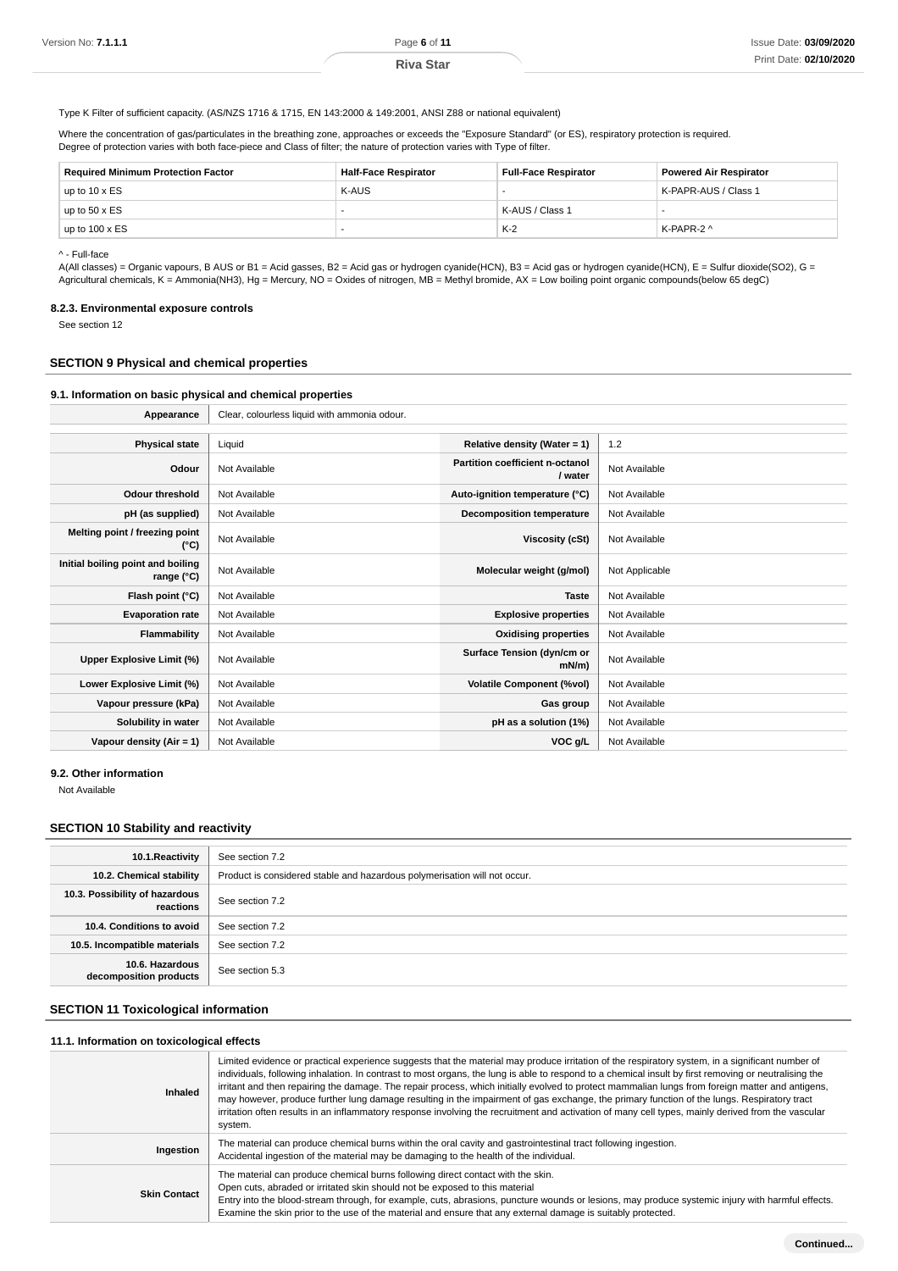Type K Filter of sufficient capacity. (AS/NZS 1716 & 1715, EN 143:2000 & 149:2001, ANSI Z88 or national equivalent)

Where the concentration of gas/particulates in the breathing zone, approaches or exceeds the "Exposure Standard" (or ES), respiratory protection is required. Degree of protection varies with both face-piece and Class of filter; the nature of protection varies with Type of filter.

| <b>Required Minimum Protection Factor</b> | <b>Half-Face Respirator</b> | <b>Full-Face Respirator</b> | <b>Powered Air Respirator</b> |
|-------------------------------------------|-----------------------------|-----------------------------|-------------------------------|
| up to $10 \times ES$                      | K-AUS                       |                             | K-PAPR-AUS / Class 1          |
| up to $50 \times ES$                      |                             | K-AUS / Class 1             |                               |
| up to $100 \times ES$                     | $\sim$                      | $K-2$                       | K-PAPR-2 ^                    |

^ - Full-face

A(All classes) = Organic vapours, B AUS or B1 = Acid gasses, B2 = Acid gas or hydrogen cyanide(HCN), B3 = Acid gas or hydrogen cyanide(HCN), E = Sulfur dioxide(SO2), G = Agricultural chemicals, K = Ammonia(NH3), Hg = Mercury, NO = Oxides of nitrogen, MB = Methyl bromide, AX = Low boiling point organic compounds(below 65 degC)

### **8.2.3. Environmental exposure controls**

See section 12

### **SECTION 9 Physical and chemical properties**

### **9.1. Information on basic physical and chemical properties**

Appearance **Clear**, colourless liquid with ammonia odour.

| <b>Physical state</b>                           | Liquid        | Relative density (Water = $1$ )                   | 1.2            |
|-------------------------------------------------|---------------|---------------------------------------------------|----------------|
| Odour                                           | Not Available | <b>Partition coefficient n-octanol</b><br>/ water | Not Available  |
| <b>Odour threshold</b>                          | Not Available | Auto-ignition temperature (°C)                    | Not Available  |
| pH (as supplied)                                | Not Available | <b>Decomposition temperature</b>                  | Not Available  |
| Melting point / freezing point<br>(°C)          | Not Available | Viscosity (cSt)                                   | Not Available  |
| Initial boiling point and boiling<br>range (°C) | Not Available | Molecular weight (g/mol)                          | Not Applicable |
| Flash point (°C)                                | Not Available | <b>Taste</b>                                      | Not Available  |
| <b>Evaporation rate</b>                         | Not Available | <b>Explosive properties</b>                       | Not Available  |
| Flammability                                    | Not Available | <b>Oxidising properties</b>                       | Not Available  |
| Upper Explosive Limit (%)                       | Not Available | Surface Tension (dyn/cm or<br>$mN/m$ )            | Not Available  |
| Lower Explosive Limit (%)                       | Not Available | <b>Volatile Component (%vol)</b>                  | Not Available  |
| Vapour pressure (kPa)                           | Not Available | Gas group                                         | Not Available  |
| Solubility in water                             | Not Available | pH as a solution (1%)                             | Not Available  |
| Vapour density (Air = 1)                        | Not Available | VOC g/L                                           | Not Available  |

#### **9.2. Other information**

Not Available

## **SECTION 10 Stability and reactivity**

| 10.1. Reactivity                            | See section 7.2                                                           |
|---------------------------------------------|---------------------------------------------------------------------------|
| 10.2. Chemical stability                    | Product is considered stable and hazardous polymerisation will not occur. |
| 10.3. Possibility of hazardous<br>reactions | See section 7.2                                                           |
| 10.4. Conditions to avoid                   | See section 7.2                                                           |
| 10.5. Incompatible materials                | See section 7.2                                                           |
| 10.6. Hazardous<br>decomposition products   | See section 5.3                                                           |

## **SECTION 11 Toxicological information**

### **11.1. Information on toxicological effects**

| Inhaled             | Limited evidence or practical experience suggests that the material may produce irritation of the respiratory system, in a significant number of<br>individuals, following inhalation. In contrast to most organs, the lung is able to respond to a chemical insult by first removing or neutralising the<br>irritant and then repairing the damage. The repair process, which initially evolved to protect mammalian lungs from foreign matter and antigens,<br>may however, produce further lung damage resulting in the impairment of gas exchange, the primary function of the lungs. Respiratory tract<br>irritation often results in an inflammatory response involving the recruitment and activation of many cell types, mainly derived from the vascular<br>system. |
|---------------------|------------------------------------------------------------------------------------------------------------------------------------------------------------------------------------------------------------------------------------------------------------------------------------------------------------------------------------------------------------------------------------------------------------------------------------------------------------------------------------------------------------------------------------------------------------------------------------------------------------------------------------------------------------------------------------------------------------------------------------------------------------------------------|
| Ingestion           | The material can produce chemical burns within the oral cavity and gastrointestinal tract following ingestion.<br>Accidental ingestion of the material may be damaging to the health of the individual.                                                                                                                                                                                                                                                                                                                                                                                                                                                                                                                                                                      |
| <b>Skin Contact</b> | The material can produce chemical burns following direct contact with the skin.<br>Open cuts, abraded or irritated skin should not be exposed to this material<br>Entry into the blood-stream through, for example, cuts, abrasions, puncture wounds or lesions, may produce systemic injury with harmful effects.<br>Examine the skin prior to the use of the material and ensure that any external damage is suitably protected.                                                                                                                                                                                                                                                                                                                                           |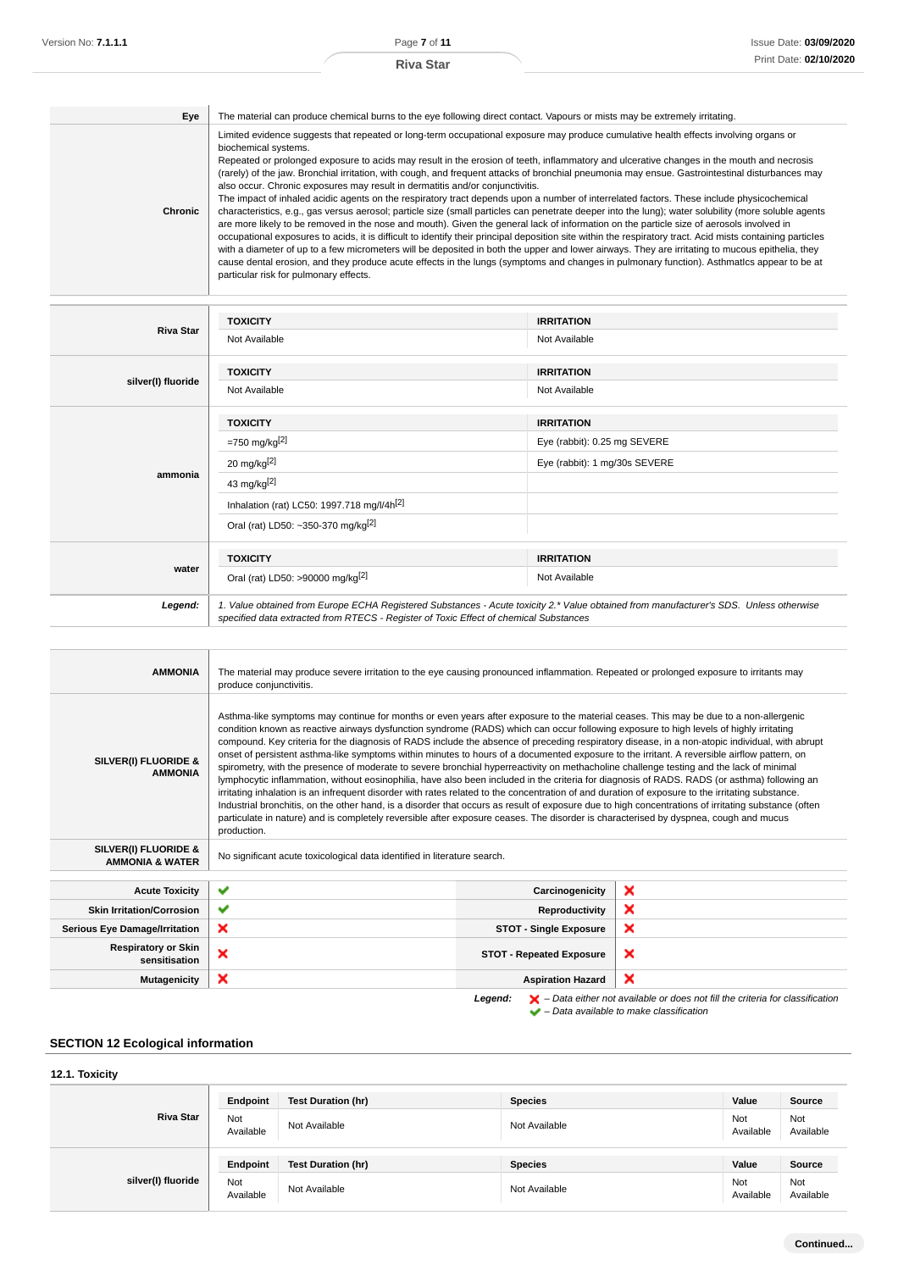| Eye     | The material can produce chemical burns to the eye following direct contact. Vapours or mists may be extremely irritating.                                                                                                                                                                                                                                                                                                                                                                                                                                                                                                                                                                                                                                                                                                                                                                                                                                                                                                                                                                                                                                                                                                                                                                                                                                                                                                                                                                              |
|---------|---------------------------------------------------------------------------------------------------------------------------------------------------------------------------------------------------------------------------------------------------------------------------------------------------------------------------------------------------------------------------------------------------------------------------------------------------------------------------------------------------------------------------------------------------------------------------------------------------------------------------------------------------------------------------------------------------------------------------------------------------------------------------------------------------------------------------------------------------------------------------------------------------------------------------------------------------------------------------------------------------------------------------------------------------------------------------------------------------------------------------------------------------------------------------------------------------------------------------------------------------------------------------------------------------------------------------------------------------------------------------------------------------------------------------------------------------------------------------------------------------------|
| Chronic | Limited evidence suggests that repeated or long-term occupational exposure may produce cumulative health effects involving organs or<br>biochemical systems.<br>Repeated or prolonged exposure to acids may result in the erosion of teeth, inflammatory and ulcerative changes in the mouth and necrosis<br>(rarely) of the jaw. Bronchial irritation, with cough, and frequent attacks of bronchial pneumonia may ensue. Gastrointestinal disturbances may<br>also occur. Chronic exposures may result in dermatitis and/or conjunctivitis.<br>The impact of inhaled acidic agents on the respiratory tract depends upon a number of interrelated factors. These include physicochemical<br>characteristics, e.g., gas versus aerosol; particle size (small particles can penetrate deeper into the lung); water solubility (more soluble agents<br>are more likely to be removed in the nose and mouth). Given the general lack of information on the particle size of aerosols involved in<br>occupational exposures to acids, it is difficult to identify their principal deposition site within the respiratory tract. Acid mists containing particles<br>with a diameter of up to a few micrometers will be deposited in both the upper and lower airways. They are irritating to mucous epithelia, they<br>cause dental erosion, and they produce acute effects in the lungs (symptoms and changes in pulmonary function). Asthmatlcs appear to be at<br>particular risk for pulmonary effects. |

|                    | <b>TOXICITY</b>                                                                                                                                                                                                                 | <b>IRRITATION</b>             |
|--------------------|---------------------------------------------------------------------------------------------------------------------------------------------------------------------------------------------------------------------------------|-------------------------------|
| <b>Riva Star</b>   | Not Available                                                                                                                                                                                                                   | Not Available                 |
|                    | <b>TOXICITY</b>                                                                                                                                                                                                                 | <b>IRRITATION</b>             |
| silver(I) fluoride | Not Available                                                                                                                                                                                                                   | Not Available                 |
|                    | <b>TOXICITY</b>                                                                                                                                                                                                                 | <b>IRRITATION</b>             |
|                    | $= 750$ mg/kg <sup>[2]</sup>                                                                                                                                                                                                    | Eye (rabbit): 0.25 mg SEVERE  |
|                    | 20 mg/kg $[2]$                                                                                                                                                                                                                  | Eye (rabbit): 1 mg/30s SEVERE |
| ammonia            | 43 mg/kg[2]                                                                                                                                                                                                                     |                               |
|                    | Inhalation (rat) LC50: 1997.718 mg/l/4h <sup>[2]</sup>                                                                                                                                                                          |                               |
|                    | Oral (rat) LD50: ~350-370 mg/kg <sup>[2]</sup>                                                                                                                                                                                  |                               |
|                    | <b>TOXICITY</b>                                                                                                                                                                                                                 | <b>IRRITATION</b>             |
| water              | Oral (rat) LD50: >90000 mg/kg <sup>[2]</sup>                                                                                                                                                                                    | Not Available                 |
| Legend:            | 1. Value obtained from Europe ECHA Registered Substances - Acute toxicity 2.* Value obtained from manufacturer's SDS. Unless otherwise<br>specified data extracted from RTECS - Register of Toxic Effect of chemical Substances |                               |

| <b>AMMONIA</b>                                     | The material may produce severe irritation to the eye causing pronounced inflammation. Repeated or prolonged exposure to irritants may<br>produce conjunctivitis.                                                                                                                                                                                                                                                                                                                                                                                                                                                                                                                                                                                                                                                                                                                                                                                                                                                                                                                                                                                                                                                                                                                                                                             |                                 |                                                                                                    |
|----------------------------------------------------|-----------------------------------------------------------------------------------------------------------------------------------------------------------------------------------------------------------------------------------------------------------------------------------------------------------------------------------------------------------------------------------------------------------------------------------------------------------------------------------------------------------------------------------------------------------------------------------------------------------------------------------------------------------------------------------------------------------------------------------------------------------------------------------------------------------------------------------------------------------------------------------------------------------------------------------------------------------------------------------------------------------------------------------------------------------------------------------------------------------------------------------------------------------------------------------------------------------------------------------------------------------------------------------------------------------------------------------------------|---------------------------------|----------------------------------------------------------------------------------------------------|
| SILVER(I) FLUORIDE &<br><b>AMMONIA</b>             | Asthma-like symptoms may continue for months or even years after exposure to the material ceases. This may be due to a non-allergenic<br>condition known as reactive airways dysfunction syndrome (RADS) which can occur following exposure to high levels of highly irritating<br>compound. Key criteria for the diagnosis of RADS include the absence of preceding respiratory disease, in a non-atopic individual, with abrupt<br>onset of persistent asthma-like symptoms within minutes to hours of a documented exposure to the irritant. A reversible airflow pattern, on<br>spirometry, with the presence of moderate to severe bronchial hyperreactivity on methacholine challenge testing and the lack of minimal<br>lymphocytic inflammation, without eosinophilia, have also been included in the criteria for diagnosis of RADS. RADS (or asthma) following an<br>irritating inhalation is an infrequent disorder with rates related to the concentration of and duration of exposure to the irritating substance.<br>Industrial bronchitis, on the other hand, is a disorder that occurs as result of exposure due to high concentrations of irritating substance (often<br>particulate in nature) and is completely reversible after exposure ceases. The disorder is characterised by dyspnea, cough and mucus<br>production. |                                 |                                                                                                    |
| SILVER(I) FLUORIDE &<br><b>AMMONIA &amp; WATER</b> | No significant acute toxicological data identified in literature search.                                                                                                                                                                                                                                                                                                                                                                                                                                                                                                                                                                                                                                                                                                                                                                                                                                                                                                                                                                                                                                                                                                                                                                                                                                                                      |                                 |                                                                                                    |
| <b>Acute Toxicity</b>                              | ✔                                                                                                                                                                                                                                                                                                                                                                                                                                                                                                                                                                                                                                                                                                                                                                                                                                                                                                                                                                                                                                                                                                                                                                                                                                                                                                                                             | Carcinogenicity                 | ×                                                                                                  |
| <b>Skin Irritation/Corrosion</b>                   | ✔                                                                                                                                                                                                                                                                                                                                                                                                                                                                                                                                                                                                                                                                                                                                                                                                                                                                                                                                                                                                                                                                                                                                                                                                                                                                                                                                             | Reproductivity                  | ×                                                                                                  |
| <b>Serious Eye Damage/Irritation</b>               | ×                                                                                                                                                                                                                                                                                                                                                                                                                                                                                                                                                                                                                                                                                                                                                                                                                                                                                                                                                                                                                                                                                                                                                                                                                                                                                                                                             | <b>STOT - Single Exposure</b>   | ×                                                                                                  |
| <b>Respiratory or Skin</b><br>sensitisation        | ×                                                                                                                                                                                                                                                                                                                                                                                                                                                                                                                                                                                                                                                                                                                                                                                                                                                                                                                                                                                                                                                                                                                                                                                                                                                                                                                                             | <b>STOT - Repeated Exposure</b> | ×                                                                                                  |
| <b>Mutagenicity</b>                                | ×                                                                                                                                                                                                                                                                                                                                                                                                                                                                                                                                                                                                                                                                                                                                                                                                                                                                                                                                                                                                                                                                                                                                                                                                                                                                                                                                             | <b>Aspiration Hazard</b>        | ×                                                                                                  |
|                                                    |                                                                                                                                                                                                                                                                                                                                                                                                                                                                                                                                                                                                                                                                                                                                                                                                                                                                                                                                                                                                                                                                                                                                                                                                                                                                                                                                               | Legend:                         | $\blacktriangleright$ – Data either not available or does not fill the criteria for classification |

– Data available to make classification

## **SECTION 12 Ecological information**

#### **12.1. Toxicity Riva Star Endpoint Test Duration (hr) Species Value Source** Not<br>Available Not Not Available Not Available Not Available Not Available Not Available Not Ava<br>Available Ava Available Not Available **silver(I) fluoride Endpoint Test Duration (hr) Species Species Value Source** Not<br>Available Not Not Available Not Available Not Available Not Available Not Available Not Ava<br>Available Ava Available Not Available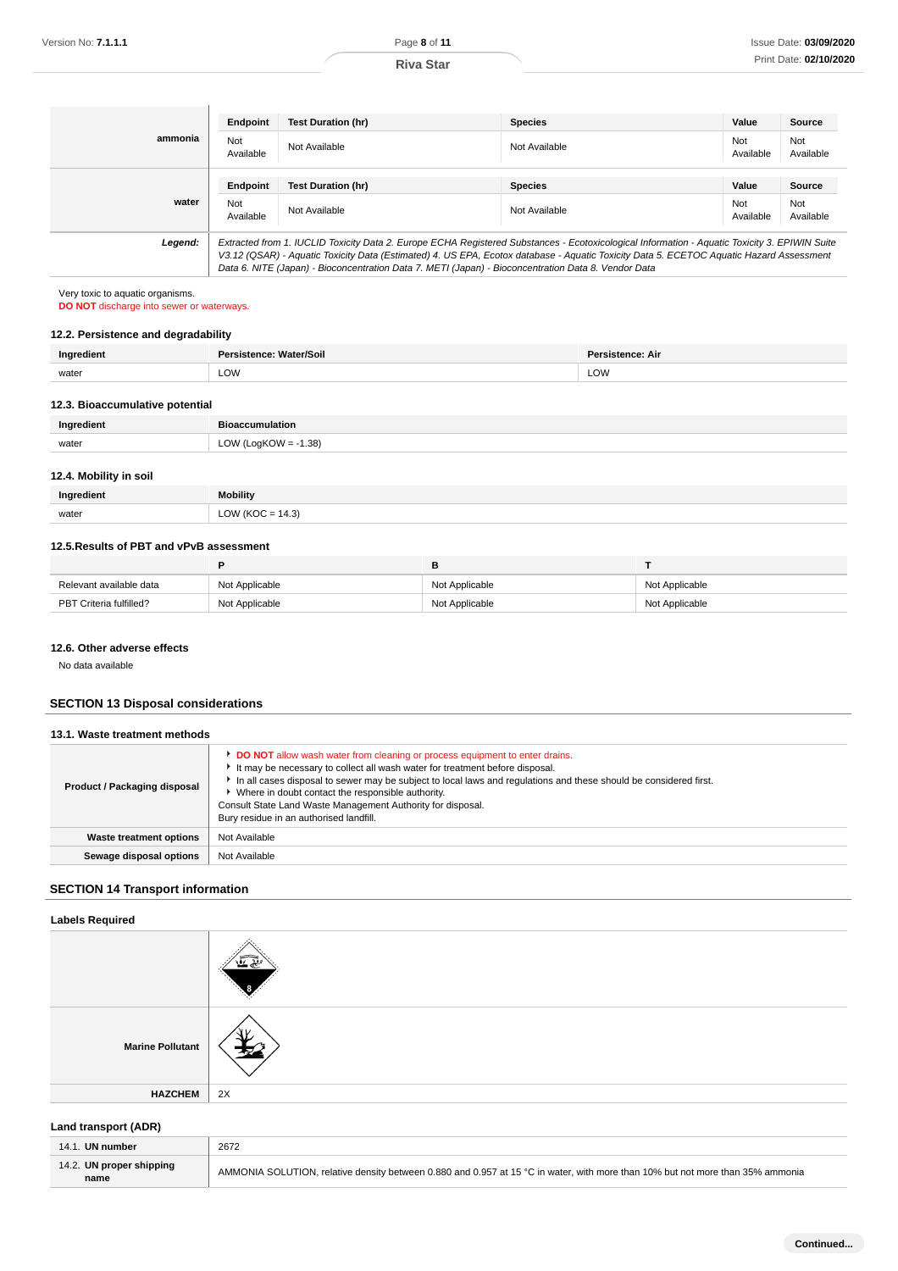|         | Endpoint         | <b>Test Duration (hr)</b>                                                                                                                                                                                                                      | <b>Species</b> | Value            | Source           |
|---------|------------------|------------------------------------------------------------------------------------------------------------------------------------------------------------------------------------------------------------------------------------------------|----------------|------------------|------------------|
| ammonia | Not<br>Available | Not Available                                                                                                                                                                                                                                  | Not Available  | Not<br>Available | Not<br>Available |
|         |                  |                                                                                                                                                                                                                                                |                |                  |                  |
|         | Endpoint         | <b>Test Duration (hr)</b>                                                                                                                                                                                                                      | <b>Species</b> | Value            | Source           |
| water   | Not<br>Available | Not Available                                                                                                                                                                                                                                  | Not Available  | Not<br>Available | Not<br>Available |
| Legend: |                  | Extracted from 1. IUCLID Toxicity Data 2. Europe ECHA Registered Substances - Ecotoxicological Information - Aquatic Toxicity 3. EPIWIN Suite                                                                                                  |                |                  |                  |
|         |                  | V3.12 (QSAR) - Aquatic Toxicity Data (Estimated) 4. US EPA, Ecotox database - Aquatic Toxicity Data 5. ECETOC Aquatic Hazard Assessment<br>Data 6. NITE (Japan) - Bioconcentration Data 7. METI (Japan) - Bioconcentration Data 8. Vendor Data |                |                  |                  |

## **12.2. Persistence and degradability**

| Ingredient | Persistence: Water/Soil | Persistence: Air |
|------------|-------------------------|------------------|
| water      | LOW                     | LOW              |
|            |                         |                  |

## **12.3. Bioaccumulative potential**

| Ingredient | <b>Bioaccumulation</b>       |
|------------|------------------------------|
| water      | 1.38)<br>$\bigcap_{\Lambda}$ |
|            |                              |

## **12.4. Mobility in soil**

| Ingredient | <b>Mobility</b>      |
|------------|----------------------|
| water      | LOW ( $KOC = 14.3$ ) |

## **12.5.Results of PBT and vPvB assessment**

| Relevant available data | Not Applicable | Not Applicable | Not Applicable |
|-------------------------|----------------|----------------|----------------|
| PBT Criteria fulfilled? | Not Applicable | Not Applicable | Not Applicable |

### **12.6. Other adverse effects**

## **SECTION 13 Disposal considerations**

| 13.1. Waste treatment methods |                                                                                                                                                                                                                                                                                                                                                                                                                                                   |
|-------------------------------|---------------------------------------------------------------------------------------------------------------------------------------------------------------------------------------------------------------------------------------------------------------------------------------------------------------------------------------------------------------------------------------------------------------------------------------------------|
| Product / Packaging disposal  | DO NOT allow wash water from cleaning or process equipment to enter drains.<br>It may be necessary to collect all wash water for treatment before disposal.<br>In all cases disposal to sewer may be subject to local laws and regulations and these should be considered first.<br>• Where in doubt contact the responsible authority.<br>Consult State Land Waste Management Authority for disposal.<br>Bury residue in an authorised landfill. |
| Waste treatment options       | Not Available                                                                                                                                                                                                                                                                                                                                                                                                                                     |
| Sewage disposal options       | Not Available                                                                                                                                                                                                                                                                                                                                                                                                                                     |
|                               |                                                                                                                                                                                                                                                                                                                                                                                                                                                   |

## **SECTION 14 Transport information**

## **Labels Required**

| Version No: <b>7.1.1.1</b>                                                                                   |                                  | Page 8 of 11                                                                                                                                                                                                                                                                                                                                                                                                                                      |                                  |                |                  |                                  | Issue Date: 03/09/202 |                       |
|--------------------------------------------------------------------------------------------------------------|----------------------------------|---------------------------------------------------------------------------------------------------------------------------------------------------------------------------------------------------------------------------------------------------------------------------------------------------------------------------------------------------------------------------------------------------------------------------------------------------|----------------------------------|----------------|------------------|----------------------------------|-----------------------|-----------------------|
|                                                                                                              |                                  |                                                                                                                                                                                                                                                                                                                                                                                                                                                   | <b>Riva Star</b>                 |                |                  |                                  |                       | Print Date: 02/10/202 |
|                                                                                                              |                                  |                                                                                                                                                                                                                                                                                                                                                                                                                                                   |                                  |                |                  |                                  |                       |                       |
|                                                                                                              |                                  |                                                                                                                                                                                                                                                                                                                                                                                                                                                   |                                  |                |                  |                                  |                       |                       |
|                                                                                                              | <b>Endpoint</b>                  | <b>Test Duration (hr)</b>                                                                                                                                                                                                                                                                                                                                                                                                                         |                                  | <b>Species</b> |                  |                                  | Value                 | Source                |
| ammonia                                                                                                      | Not<br>Available                 | Not Available                                                                                                                                                                                                                                                                                                                                                                                                                                     |                                  | Not Available  |                  |                                  | Not<br>Available      | Not<br>Available      |
|                                                                                                              | <b>Endpoint</b>                  | <b>Test Duration (hr)</b>                                                                                                                                                                                                                                                                                                                                                                                                                         |                                  | <b>Species</b> |                  |                                  | Value                 | Source                |
| water                                                                                                        | Not<br>Available                 | Not Available                                                                                                                                                                                                                                                                                                                                                                                                                                     |                                  | Not Available  |                  |                                  | Not<br>Available      | Not<br>Available      |
| Legend:                                                                                                      |                                  | Extracted from 1. IUCLID Toxicity Data 2. Europe ECHA Registered Substances - Ecotoxicological Information - Aquatic Toxicity 3. EPIWIN Suite<br>V3.12 (QSAR) - Aquatic Toxicity Data (Estimated) 4. US EPA, Ecotox database - Aquatic Toxicity Data 5. ECETOC Aquatic Hazard Assessment<br>Data 6. NITE (Japan) - Bioconcentration Data 7. METI (Japan) - Bioconcentration Data 8. Vendor Data                                                   |                                  |                |                  |                                  |                       |                       |
| Very toxic to aquatic organisms.<br>DO NOT discharge into sewer or waterways.                                |                                  |                                                                                                                                                                                                                                                                                                                                                                                                                                                   |                                  |                |                  |                                  |                       |                       |
| 12.2. Persistence and degradability                                                                          |                                  |                                                                                                                                                                                                                                                                                                                                                                                                                                                   |                                  |                |                  |                                  |                       |                       |
| Ingredient                                                                                                   | Persistence: Water/Soil          |                                                                                                                                                                                                                                                                                                                                                                                                                                                   |                                  |                | Persistence: Air |                                  |                       |                       |
| water                                                                                                        | LOW                              |                                                                                                                                                                                                                                                                                                                                                                                                                                                   |                                  | LOW            |                  |                                  |                       |                       |
|                                                                                                              |                                  |                                                                                                                                                                                                                                                                                                                                                                                                                                                   |                                  |                |                  |                                  |                       |                       |
| 12.3. Bioaccumulative potential                                                                              |                                  |                                                                                                                                                                                                                                                                                                                                                                                                                                                   |                                  |                |                  |                                  |                       |                       |
| Ingredient                                                                                                   | <b>Bioaccumulation</b>           |                                                                                                                                                                                                                                                                                                                                                                                                                                                   |                                  |                |                  |                                  |                       |                       |
| water                                                                                                        | LOW (LogKOW = $-1.38$ )          |                                                                                                                                                                                                                                                                                                                                                                                                                                                   |                                  |                |                  |                                  |                       |                       |
| 12.4. Mobility in soil                                                                                       |                                  |                                                                                                                                                                                                                                                                                                                                                                                                                                                   |                                  |                |                  |                                  |                       |                       |
| Ingredient                                                                                                   | <b>Mobility</b>                  |                                                                                                                                                                                                                                                                                                                                                                                                                                                   |                                  |                |                  |                                  |                       |                       |
|                                                                                                              |                                  |                                                                                                                                                                                                                                                                                                                                                                                                                                                   |                                  |                |                  |                                  |                       |                       |
| water                                                                                                        | LOW ( $KOC = 14.3$ )             |                                                                                                                                                                                                                                                                                                                                                                                                                                                   |                                  |                |                  |                                  |                       |                       |
| 12.5. Results of PBT and vPvB assessment                                                                     |                                  |                                                                                                                                                                                                                                                                                                                                                                                                                                                   |                                  |                |                  |                                  |                       |                       |
|                                                                                                              | P                                |                                                                                                                                                                                                                                                                                                                                                                                                                                                   | в                                |                |                  | T                                |                       |                       |
| Relevant available data<br>PBT Criteria fulfilled?                                                           | Not Applicable<br>Not Applicable |                                                                                                                                                                                                                                                                                                                                                                                                                                                   | Not Applicable<br>Not Applicable |                |                  | Not Applicable<br>Not Applicable |                       |                       |
| No data available<br><b>SECTION 13 Disposal considerations</b>                                               |                                  |                                                                                                                                                                                                                                                                                                                                                                                                                                                   |                                  |                |                  |                                  |                       |                       |
| 13.1. Waste treatment methods                                                                                |                                  |                                                                                                                                                                                                                                                                                                                                                                                                                                                   |                                  |                |                  |                                  |                       |                       |
| <b>Product / Packaging disposal</b>                                                                          |                                  | DO NOT allow wash water from cleaning or process equipment to enter drains.<br>It may be necessary to collect all wash water for treatment before disposal.<br>In all cases disposal to sewer may be subject to local laws and regulations and these should be considered first.<br>▶ Where in doubt contact the responsible authority.<br>Consult State Land Waste Management Authority for disposal.<br>Bury residue in an authorised landfill. |                                  |                |                  |                                  |                       |                       |
| <b>Waste treatment options</b>                                                                               | Not Available                    |                                                                                                                                                                                                                                                                                                                                                                                                                                                   |                                  |                |                  |                                  |                       |                       |
| Sewage disposal options                                                                                      | Not Available                    |                                                                                                                                                                                                                                                                                                                                                                                                                                                   |                                  |                |                  |                                  |                       |                       |
|                                                                                                              |                                  |                                                                                                                                                                                                                                                                                                                                                                                                                                                   |                                  |                |                  |                                  |                       |                       |
|                                                                                                              |                                  |                                                                                                                                                                                                                                                                                                                                                                                                                                                   |                                  |                |                  |                                  |                       |                       |
|                                                                                                              |                                  |                                                                                                                                                                                                                                                                                                                                                                                                                                                   |                                  |                |                  |                                  |                       |                       |
|                                                                                                              |                                  |                                                                                                                                                                                                                                                                                                                                                                                                                                                   |                                  |                |                  |                                  |                       |                       |
| <b>Marine Pollutant</b>                                                                                      |                                  |                                                                                                                                                                                                                                                                                                                                                                                                                                                   |                                  |                |                  |                                  |                       |                       |
| <b>HAZCHEM</b>                                                                                               | 2X                               |                                                                                                                                                                                                                                                                                                                                                                                                                                                   |                                  |                |                  |                                  |                       |                       |
|                                                                                                              |                                  |                                                                                                                                                                                                                                                                                                                                                                                                                                                   |                                  |                |                  |                                  |                       |                       |
| <b>SECTION 14 Transport information</b><br><b>Labels Required</b><br>Land transport (ADR)<br>14.1. UN number | 2672                             |                                                                                                                                                                                                                                                                                                                                                                                                                                                   |                                  |                |                  |                                  |                       |                       |

## **Land transport (ADR)**

| . UN number<br>14.1.             | 2672                                                                                                                           |
|----------------------------------|--------------------------------------------------------------------------------------------------------------------------------|
| 14.2. UN proper shipping<br>name | AMMONIA SOLUTION, relative density between 0.880 and 0.957 at 15 °C in water, with more than 10% but not more than 35% ammonia |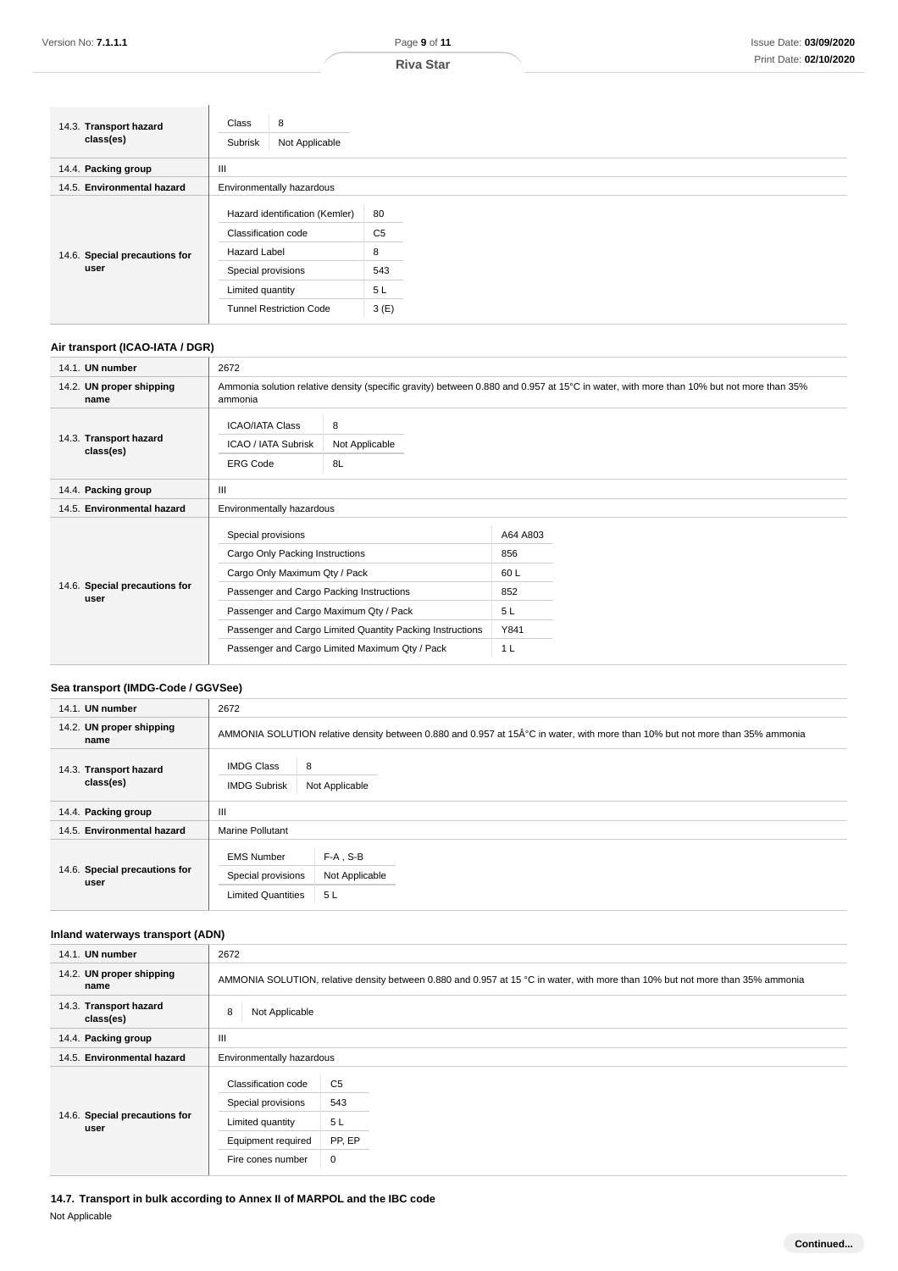| 14.3. Transport hazard<br>class(es) | Class<br>8<br>Not Applicable<br>Subrisk               |                      |
|-------------------------------------|-------------------------------------------------------|----------------------|
| 14.4. Packing group                 | Ш                                                     |                      |
| 14.5. Environmental hazard          | Environmentally hazardous                             |                      |
|                                     | Hazard identification (Kemler)<br>Classification code | 80<br>C <sub>5</sub> |
| 14.6. Special precautions for       | <b>Hazard Label</b>                                   | 8                    |
| user                                | Special provisions                                    | 543                  |
|                                     | Limited quantity                                      | 5L                   |
|                                     | <b>Tunnel Restriction Code</b>                        | 3(E)                 |

## **Air transport (ICAO-IATA / DGR)**

| 14.1. UN number                       | 2672                                                                                                                                                                                                                                      |                           |                                             |  |
|---------------------------------------|-------------------------------------------------------------------------------------------------------------------------------------------------------------------------------------------------------------------------------------------|---------------------------|---------------------------------------------|--|
| 14.2. UN proper shipping<br>name      | Ammonia solution relative density (specific gravity) between 0.880 and 0.957 at 15°C in water, with more than 10% but not more than 35%<br>ammonia                                                                                        |                           |                                             |  |
| 14.3. Transport hazard<br>class(es)   | <b>ICAO/IATA Class</b><br><b>ICAO / IATA Subrisk</b><br><b>ERG Code</b>                                                                                                                                                                   | 8<br>Not Applicable<br>8L |                                             |  |
| 14.4. Packing group                   | Ш                                                                                                                                                                                                                                         |                           |                                             |  |
| 14.5. Environmental hazard            | Environmentally hazardous                                                                                                                                                                                                                 |                           |                                             |  |
| 14.6. Special precautions for<br>user | Special provisions<br>Cargo Only Packing Instructions<br>Cargo Only Maximum Qty / Pack<br>Passenger and Cargo Packing Instructions<br>Passenger and Cargo Maximum Qty / Pack<br>Passenger and Cargo Limited Quantity Packing Instructions |                           | A64 A803<br>856<br>60L<br>852<br>5L<br>Y841 |  |
|                                       | Passenger and Cargo Limited Maximum Qty / Pack                                                                                                                                                                                            |                           | 1 <sub>L</sub>                              |  |

## **Sea transport (IMDG-Code / GGVSee)**

| 14.1. UN number                       | 2672                                                                 |                                                                                                                              |  |  |
|---------------------------------------|----------------------------------------------------------------------|------------------------------------------------------------------------------------------------------------------------------|--|--|
| 14.2. UN proper shipping<br>name      |                                                                      | AMMONIA SOLUTION relative density between 0.880 and 0.957 at 15°C in water, with more than 10% but not more than 35% ammonia |  |  |
| 14.3. Transport hazard<br>class(es)   | 8<br><b>IMDG Class</b><br><b>IMDG Subrisk</b>                        | Not Applicable                                                                                                               |  |  |
| 14.4. Packing group                   | Ш                                                                    |                                                                                                                              |  |  |
| 14.5. Environmental hazard            | <b>Marine Pollutant</b>                                              |                                                                                                                              |  |  |
| 14.6. Special precautions for<br>user | <b>EMS Number</b><br>Special provisions<br><b>Limited Quantities</b> | $F-A$ , S-B<br>Not Applicable<br>5L                                                                                          |  |  |

## **Inland waterways transport (ADN)**

| 14.1. UN number                       | 2672                                                                                                                           |                       |  |  |
|---------------------------------------|--------------------------------------------------------------------------------------------------------------------------------|-----------------------|--|--|
| 14.2. UN proper shipping<br>name      | AMMONIA SOLUTION, relative density between 0.880 and 0.957 at 15 °C in water, with more than 10% but not more than 35% ammonia |                       |  |  |
| 14.3. Transport hazard<br>class(es)   | Not Applicable<br>8                                                                                                            |                       |  |  |
| 14.4. Packing group                   | Ш                                                                                                                              |                       |  |  |
| 14.5. Environmental hazard            | Environmentally hazardous                                                                                                      |                       |  |  |
|                                       | Classification code<br>Special provisions                                                                                      | C <sub>5</sub><br>543 |  |  |
| 14.6. Special precautions for<br>user | Limited quantity                                                                                                               | 5L                    |  |  |
|                                       | Equipment required                                                                                                             | PP, EP                |  |  |
|                                       | Fire cones number                                                                                                              | 0                     |  |  |

**14.7. Transport in bulk according to Annex II of MARPOL and the IBC code** Not Applicable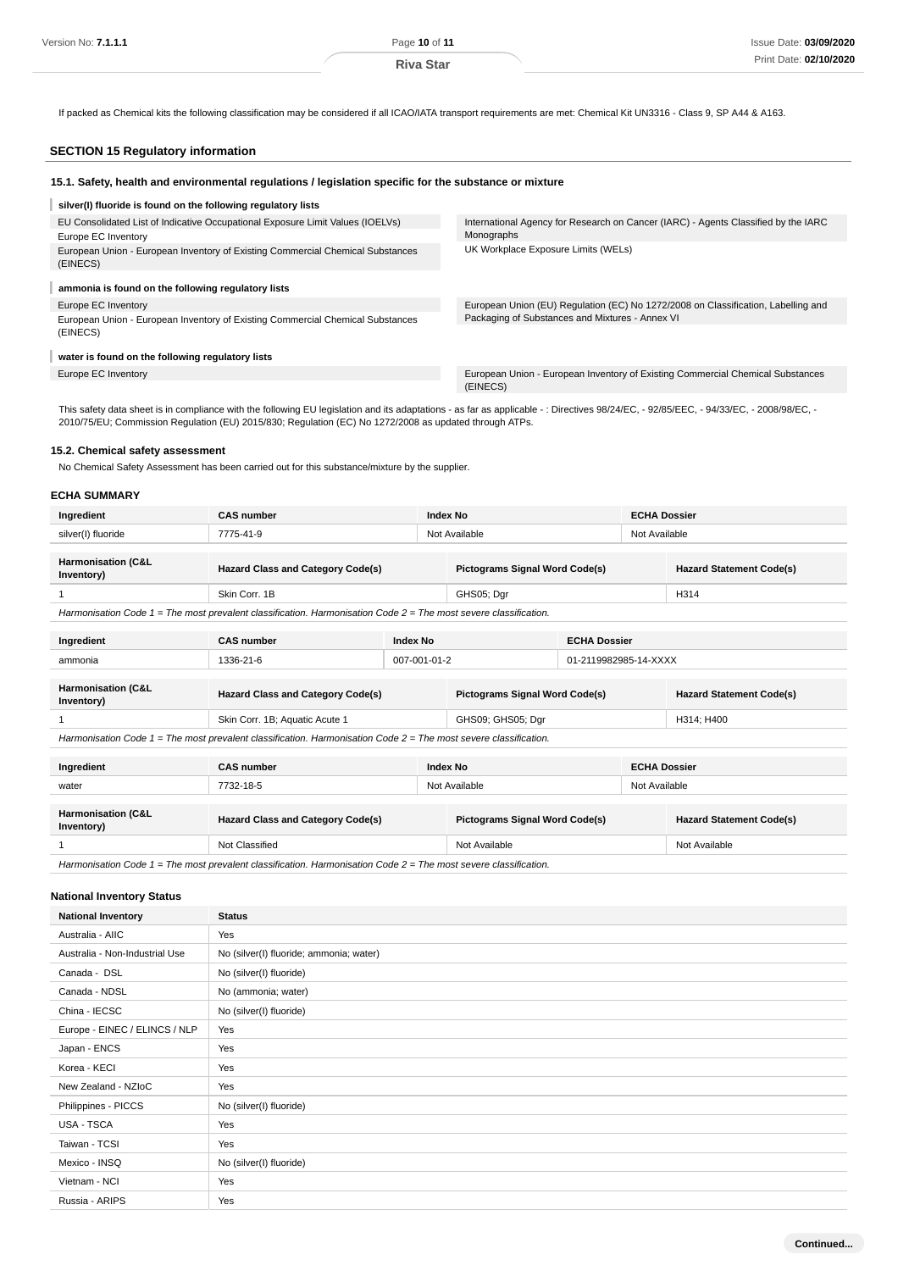If packed as Chemical kits the following classification may be considered if all ICAO/IATA transport requirements are met: Chemical Kit UN3316 - Class 9, SP A44 & A163.

## **SECTION 15 Regulatory information**

| 15.1. Safety, health and environmental regulations / legislation specific for the substance or mixture |                                                                                                  |
|--------------------------------------------------------------------------------------------------------|--------------------------------------------------------------------------------------------------|
| silver(I) fluoride is found on the following regulatory lists                                          |                                                                                                  |
| EU Consolidated List of Indicative Occupational Exposure Limit Values (IOELVs)<br>Europe EC Inventory  | International Agency for Research on Cancer (IARC) - Agents Classified by the IARC<br>Monographs |
| European Union - European Inventory of Existing Commercial Chemical Substances<br>(EINECS)             | UK Workplace Exposure Limits (WELs)                                                              |
| ammonia is found on the following regulatory lists                                                     |                                                                                                  |
| Europe EC Inventory                                                                                    | European Union (EU) Regulation (EC) No 1272/2008 on Classification, Labelling and                |
| European Union - European Inventory of Existing Commercial Chemical Substances<br>(EINECS)             | Packaging of Substances and Mixtures - Annex VI                                                  |
| water is found on the following regulatory lists                                                       |                                                                                                  |
| Europe EC Inventory                                                                                    | European Union - European Inventory of Existing Commercial Chemical Substances<br>(EINECS)       |

This safety data sheet is in compliance with the following EU legislation and its adaptations - as far as applicable - : Directives 98/24/EC, - 92/85/EEC, - 94/33/EC, - 2008/98/EC, -2010/75/EU; Commission Regulation (EU) 2015/830; Regulation (EC) No 1272/2008 as updated through ATPs.

## **15.2. Chemical safety assessment**

No Chemical Safety Assessment has been carried out for this substance/mixture by the supplier.

### **ECHA SUMMARY**

| Ingredient                                  | <b>CAS number</b>                        |  | Index No                              |  | <b>ECHA Dossier</b>             |  |
|---------------------------------------------|------------------------------------------|--|---------------------------------------|--|---------------------------------|--|
| silver(I) fluoride                          | 7775-41-9                                |  | Not Available                         |  | Not Available                   |  |
|                                             |                                          |  |                                       |  |                                 |  |
| <b>Harmonisation (C&amp;L</b><br>Inventory) | <b>Hazard Class and Category Code(s)</b> |  | <b>Pictograms Signal Word Code(s)</b> |  | <b>Hazard Statement Code(s)</b> |  |
|                                             | Skin Corr, 1B                            |  | GHS05; Dgr                            |  | H314                            |  |
|                                             |                                          |  |                                       |  |                                 |  |

Harmonisation Code 1 = The most prevalent classification. Harmonisation Code 2 = The most severe classification.

| Ingredient                                                                                                           | <b>CAS number</b><br><b>Index No</b>     |  |                                       | <b>ECHA Dossier</b> |                                 |                                 |
|----------------------------------------------------------------------------------------------------------------------|------------------------------------------|--|---------------------------------------|---------------------|---------------------------------|---------------------------------|
| ammonia                                                                                                              | $007 - 001 - 01 - 2$<br>1336-21-6        |  | 01-2119982985-14-XXXX                 |                     |                                 |                                 |
| <b>Harmonisation (C&amp;L</b><br>Inventory)                                                                          | <b>Hazard Class and Category Code(s)</b> |  | <b>Pictograms Signal Word Code(s)</b> |                     | <b>Hazard Statement Code(s)</b> |                                 |
|                                                                                                                      | Skin Corr. 1B; Aquatic Acute 1           |  | GHS09; GHS05; Dgr                     |                     | H314; H400                      |                                 |
| Harmonisation Code $1 =$ The most prevalent classification. Harmonisation Code $2 =$ The most severe classification. |                                          |  |                                       |                     |                                 |                                 |
| Ingredient                                                                                                           | <b>CAS number</b>                        |  | Index No                              |                     | <b>ECHA Dossier</b>             |                                 |
| water                                                                                                                | 7732-18-5                                |  | Not Available<br>Not Available        |                     |                                 |                                 |
| Harmonisation (C&L<br>Inventory)                                                                                     | <b>Hazard Class and Category Code(s)</b> |  | <b>Pictograms Signal Word Code(s)</b> |                     |                                 | <b>Hazard Statement Code(s)</b> |
|                                                                                                                      | Not Classified                           |  | Not Available                         |                     | Not Available                   |                                 |

Harmonisation Code  $1 =$  The most prevalent classification. Harmonisation Code  $2 =$  The most severe classification.

## **National Inventory Status**

| <b>National Inventory</b>      | <b>Status</b>                           |
|--------------------------------|-----------------------------------------|
| Australia - AIIC               | Yes                                     |
| Australia - Non-Industrial Use | No (silver(I) fluoride; ammonia; water) |
| Canada - DSL                   | No (silver(I) fluoride)                 |
| Canada - NDSL                  | No (ammonia; water)                     |
| China - IECSC                  | No (silver(I) fluoride)                 |
| Europe - EINEC / ELINCS / NLP  | Yes                                     |
| Japan - ENCS                   | Yes                                     |
| Korea - KECI                   | Yes                                     |
| New Zealand - NZIoC            | Yes                                     |
| Philippines - PICCS            | No (silver(I) fluoride)                 |
| USA - TSCA                     | Yes                                     |
| Taiwan - TCSI                  | Yes                                     |
| Mexico - INSQ                  | No (silver(I) fluoride)                 |
| Vietnam - NCI                  | Yes                                     |
| Russia - ARIPS                 | Yes                                     |